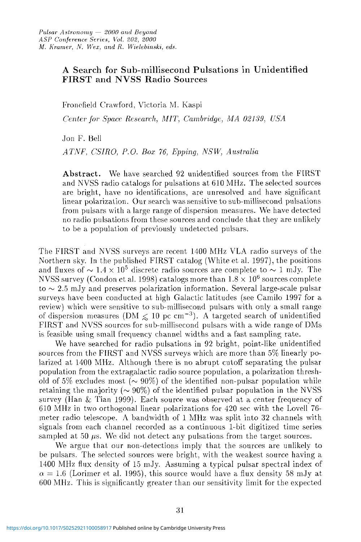## A Search for Sub-millisecond Pulsations in Unidentified FIRST and NVSS Radio Sources

Fronefield Crawford, Victoria M. Kaspi

*Center for- Space Research, MIT, Cambridge, MA 02139, USA* 

Jon F. Bell

*ATNF, CSIRO, P.O. Box 76, Epping, NSW, Australia* 

**Abstract.** We have searched 92 unidentified sources from the FIRST and NVSS radio catalogs for pulsations at 610 MHz. The selected sources are bright, have no identifications, are unresolved and have significant linear polarization. Our search was sensitive to sub-millisecond pulsations from pulsars with a large range of dispersion measures. We have detected no radio pulsations from these sources and conclude that they are unlikely to be a population of previously undetected pulsars.

The FIRST and NVSS surveys are recent 1400 MHz VLA radio surveys of the Northern sky. In the published FIRST catalog (White et al. 1997), the positions and fluxes of  $\sim 1.4 \times 10^5$  discrete radio sources are complete to  $\sim 1$  mJy. The NVSS survey (Condon et al. 1998) catalogs more than  $1.8 \times 10^6$  sources complete  $to \sim 2.5$  mJy and preserves polarization information. Several large-scale pulsar surveys have been conducted at high Galactic latitudes (see Camilo 1997 for a review) which were sensitive to sub-millisecond pulsars with only a small range of dispersion measures (DM  $\leq 10$  pc cm<sup>-3</sup>). A targeted search of unidentified FIRST and NVSS sources for sub-millisecond pulsars with a wide range of DMs is feasible using small frequency channel widths and a fast sampling rate.

We have searched for radio pulsations in 92 bright, point-like unidentified sources from the FIRST and NVSS surveys which are more than 5% linearly polarized at 1400 MHz. Although there is no abrupt cutoff separating the pulsar population from the extragalactic radio source population, a polarization threshold of 5% excludes most ( $\sim$  90%) of the identified non-pulsar population while retaining the majority ( $\sim 90\%$ ) of the identified pulsar population in the NVSS survey (Han & Tian 1999). Each source was observed at a center frequency of 610 MHz in two orthogonal linear polarizations for 420 sec with the Lovell 76 meter radio telescope. A bandwidth of 1 MHz was split into 32 channels with signals from each channel recorded as a continuous 1-bit digitized time series sampled at 50  $\mu$ s. We did not detect any pulsations from the target sources.

We argue that our non-detections imply that the sources are unlikely to be pulsars. The selected sources were bright, with the weakest source having a 1400 MHz flux density of 15 mJy. Assuming a typical pulsar spectral index of  $\alpha = 1.6$  (Lorimer et al. 1995), this source would have a flux density 58 mJy at 600 MHz. This is significantly greater than our sensitivity limit for the expected